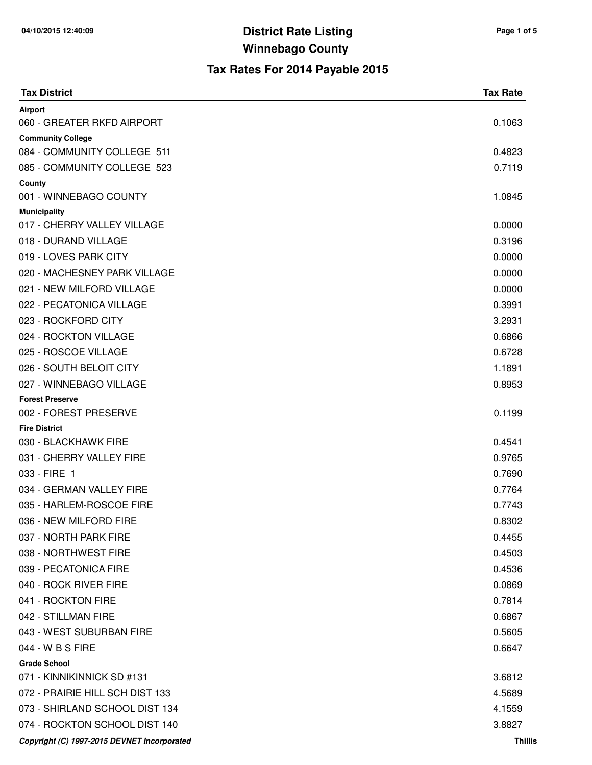| <b>Tax District</b>                                | <b>Tax Rate</b> |
|----------------------------------------------------|-----------------|
| Airport                                            |                 |
| 060 - GREATER RKFD AIRPORT                         | 0.1063          |
| <b>Community College</b>                           |                 |
| 084 - COMMUNITY COLLEGE 511                        | 0.4823          |
| 085 - COMMUNITY COLLEGE 523                        | 0.7119          |
| County<br>001 - WINNEBAGO COUNTY                   | 1.0845          |
|                                                    |                 |
| <b>Municipality</b><br>017 - CHERRY VALLEY VILLAGE | 0.0000          |
| 018 - DURAND VILLAGE                               | 0.3196          |
| 019 - LOVES PARK CITY                              | 0.0000          |
| 020 - MACHESNEY PARK VILLAGE                       | 0.0000          |
| 021 - NEW MILFORD VILLAGE                          | 0.0000          |
| 022 - PECATONICA VILLAGE                           | 0.3991          |
| 023 - ROCKFORD CITY                                | 3.2931          |
| 024 - ROCKTON VILLAGE                              | 0.6866          |
| 025 - ROSCOE VILLAGE                               | 0.6728          |
| 026 - SOUTH BELOIT CITY                            | 1.1891          |
| 027 - WINNEBAGO VILLAGE                            | 0.8953          |
| <b>Forest Preserve</b>                             |                 |
| 002 - FOREST PRESERVE                              | 0.1199          |
| <b>Fire District</b>                               |                 |
| 030 - BLACKHAWK FIRE                               | 0.4541          |
| 031 - CHERRY VALLEY FIRE                           | 0.9765          |
| 033 - FIRE 1                                       | 0.7690          |
| 034 - GERMAN VALLEY FIRE                           | 0.7764          |
| 035 - HARLEM-ROSCOE FIRE                           | 0.7743          |
| 036 - NEW MILFORD FIRE                             | 0.8302          |
| 037 - NORTH PARK FIRE                              | 0.4455          |
| 038 - NORTHWEST FIRE                               | 0.4503          |
| 039 - PECATONICA FIRE                              | 0.4536          |
| 040 - ROCK RIVER FIRE                              | 0.0869          |
| 041 - ROCKTON FIRE                                 | 0.7814          |
| 042 - STILLMAN FIRE                                | 0.6867          |
| 043 - WEST SUBURBAN FIRE                           | 0.5605          |
| 044 - W B S FIRE                                   | 0.6647          |
| <b>Grade School</b>                                |                 |
| 071 - KINNIKINNICK SD #131                         | 3.6812          |
| 072 - PRAIRIE HILL SCH DIST 133                    | 4.5689          |
| 073 - SHIRLAND SCHOOL DIST 134                     | 4.1559          |
| 074 - ROCKTON SCHOOL DIST 140                      | 3.8827          |
| Copyright (C) 1997-2015 DEVNET Incorporated        | <b>Thillis</b>  |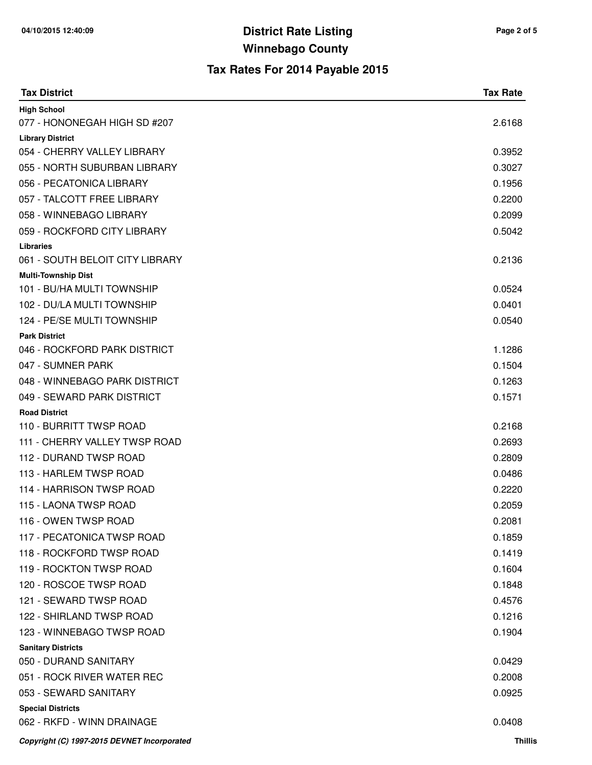| <b>Tax District</b>                                  | <b>Tax Rate</b> |
|------------------------------------------------------|-----------------|
| <b>High School</b>                                   |                 |
| 077 - HONONEGAH HIGH SD #207                         | 2.6168          |
| <b>Library District</b>                              |                 |
| 054 - CHERRY VALLEY LIBRARY                          | 0.3952          |
| 055 - NORTH SUBURBAN LIBRARY                         | 0.3027          |
| 056 - PECATONICA LIBRARY                             | 0.1956          |
| 057 - TALCOTT FREE LIBRARY                           | 0.2200          |
| 058 - WINNEBAGO LIBRARY                              | 0.2099          |
| 059 - ROCKFORD CITY LIBRARY                          | 0.5042          |
| <b>Libraries</b>                                     |                 |
| 061 - SOUTH BELOIT CITY LIBRARY                      | 0.2136          |
| <b>Multi-Township Dist</b>                           |                 |
| 101 - BU/HA MULTI TOWNSHIP                           | 0.0524          |
| 102 - DU/LA MULTI TOWNSHIP                           | 0.0401          |
| 124 - PE/SE MULTI TOWNSHIP                           | 0.0540          |
| <b>Park District</b><br>046 - ROCKFORD PARK DISTRICT | 1.1286          |
| 047 - SUMNER PARK                                    | 0.1504          |
| 048 - WINNEBAGO PARK DISTRICT                        | 0.1263          |
| 049 - SEWARD PARK DISTRICT                           | 0.1571          |
| <b>Road District</b>                                 |                 |
| 110 - BURRITT TWSP ROAD                              | 0.2168          |
| 111 - CHERRY VALLEY TWSP ROAD                        | 0.2693          |
| 112 - DURAND TWSP ROAD                               | 0.2809          |
| 113 - HARLEM TWSP ROAD                               | 0.0486          |
| 114 - HARRISON TWSP ROAD                             | 0.2220          |
| 115 - LAONA TWSP ROAD                                | 0.2059          |
| 116 - OWEN TWSP ROAD                                 | 0.2081          |
| 117 - PECATONICA TWSP ROAD                           | 0.1859          |
| 118 - ROCKFORD TWSP ROAD                             | 0.1419          |
| 119 - ROCKTON TWSP ROAD                              | 0.1604          |
| 120 - ROSCOE TWSP ROAD                               | 0.1848          |
| 121 - SEWARD TWSP ROAD                               | 0.4576          |
| 122 - SHIRLAND TWSP ROAD                             | 0.1216          |
| 123 - WINNEBAGO TWSP ROAD                            | 0.1904          |
| <b>Sanitary Districts</b>                            |                 |
| 050 - DURAND SANITARY                                | 0.0429          |
| 051 - ROCK RIVER WATER REC                           | 0.2008          |
| 053 - SEWARD SANITARY                                | 0.0925          |
| <b>Special Districts</b>                             |                 |
| 062 - RKFD - WINN DRAINAGE                           | 0.0408          |
| Copyright (C) 1997-2015 DEVNET Incorporated          | <b>Thillis</b>  |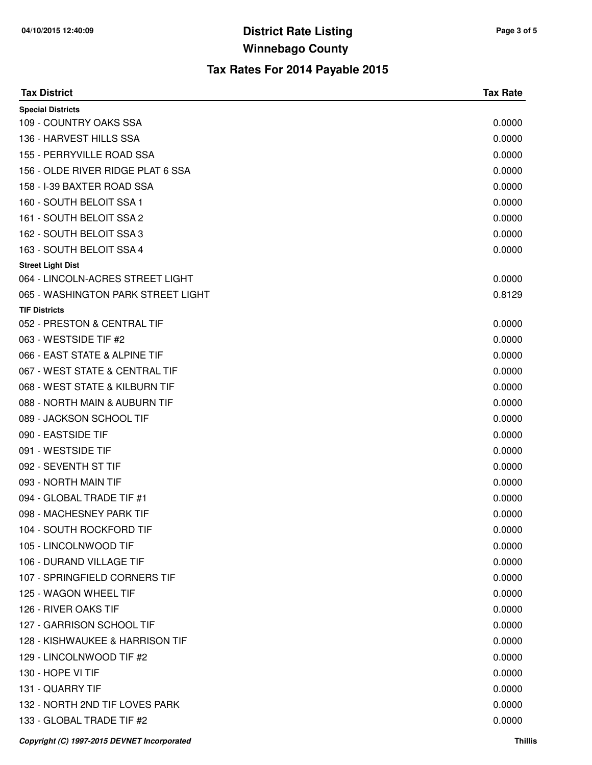| <b>Tax District</b>                         | <b>Tax Rate</b> |
|---------------------------------------------|-----------------|
| <b>Special Districts</b>                    |                 |
| 109 - COUNTRY OAKS SSA                      | 0.0000          |
| 136 - HARVEST HILLS SSA                     | 0.0000          |
| 155 - PERRYVILLE ROAD SSA                   | 0.0000          |
| 156 - OLDE RIVER RIDGE PLAT 6 SSA           | 0.0000          |
| 158 - I-39 BAXTER ROAD SSA                  | 0.0000          |
| 160 - SOUTH BELOIT SSA 1                    | 0.0000          |
| 161 - SOUTH BELOIT SSA 2                    | 0.0000          |
| 162 - SOUTH BELOIT SSA 3                    | 0.0000          |
| 163 - SOUTH BELOIT SSA 4                    | 0.0000          |
| <b>Street Light Dist</b>                    |                 |
| 064 - LINCOLN-ACRES STREET LIGHT            | 0.0000          |
| 065 - WASHINGTON PARK STREET LIGHT          | 0.8129          |
| <b>TIF Districts</b>                        |                 |
| 052 - PRESTON & CENTRAL TIF                 | 0.0000          |
| 063 - WESTSIDE TIF #2                       | 0.0000          |
| 066 - EAST STATE & ALPINE TIF               | 0.0000          |
| 067 - WEST STATE & CENTRAL TIF              | 0.0000          |
| 068 - WEST STATE & KILBURN TIF              | 0.0000          |
| 088 - NORTH MAIN & AUBURN TIF               | 0.0000          |
| 089 - JACKSON SCHOOL TIF                    | 0.0000          |
| 090 - EASTSIDE TIF                          | 0.0000          |
| 091 - WESTSIDE TIF                          | 0.0000          |
| 092 - SEVENTH ST TIF                        | 0.0000          |
| 093 - NORTH MAIN TIF                        | 0.0000          |
| 094 - GLOBAL TRADE TIF #1                   | 0.0000          |
| 098 - MACHESNEY PARK TIF                    | 0.0000          |
| 104 - SOUTH ROCKFORD TIF                    | 0.0000          |
| 105 - LINCOLNWOOD TIF                       | 0.0000          |
| 106 - DURAND VILLAGE TIF                    | 0.0000          |
| 107 - SPRINGFIELD CORNERS TIF               | 0.0000          |
| 125 - WAGON WHEEL TIF                       | 0.0000          |
| 126 - RIVER OAKS TIF                        | 0.0000          |
| 127 - GARRISON SCHOOL TIF                   | 0.0000          |
| 128 - KISHWAUKEE & HARRISON TIF             | 0.0000          |
| 129 - LINCOLNWOOD TIF #2                    | 0.0000          |
| 130 - HOPE VI TIF                           | 0.0000          |
| 131 - QUARRY TIF                            | 0.0000          |
| 132 - NORTH 2ND TIF LOVES PARK              | 0.0000          |
| 133 - GLOBAL TRADE TIF #2                   | 0.0000          |
| Copyright (C) 1997-2015 DEVNET Incorporated | <b>Thillis</b>  |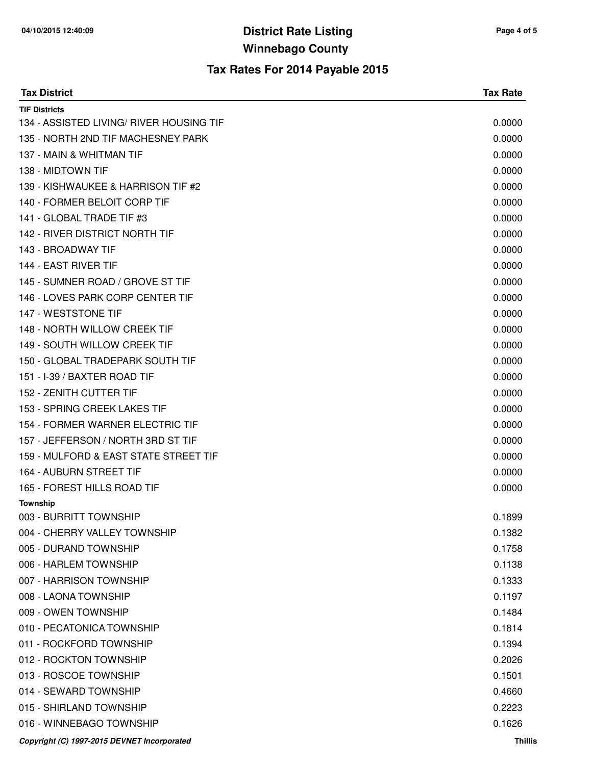| <b>Tax District</b>                         | <b>Tax Rate</b> |
|---------------------------------------------|-----------------|
| <b>TIF Districts</b>                        |                 |
| 134 - ASSISTED LIVING/ RIVER HOUSING TIF    | 0.0000          |
| 135 - NORTH 2ND TIF MACHESNEY PARK          | 0.0000          |
| 137 - MAIN & WHITMAN TIF                    | 0.0000          |
| 138 - MIDTOWN TIF                           | 0.0000          |
| 139 - KISHWAUKEE & HARRISON TIF #2          | 0.0000          |
| 140 - FORMER BELOIT CORP TIF                | 0.0000          |
| 141 - GLOBAL TRADE TIF #3                   | 0.0000          |
| 142 - RIVER DISTRICT NORTH TIF              | 0.0000          |
| 143 - BROADWAY TIF                          | 0.0000          |
| 144 - EAST RIVER TIF                        | 0.0000          |
| 145 - SUMNER ROAD / GROVE ST TIF            | 0.0000          |
| 146 - LOVES PARK CORP CENTER TIF            | 0.0000          |
| 147 - WESTSTONE TIF                         | 0.0000          |
| 148 - NORTH WILLOW CREEK TIF                | 0.0000          |
| 149 - SOUTH WILLOW CREEK TIF                | 0.0000          |
| 150 - GLOBAL TRADEPARK SOUTH TIF            | 0.0000          |
| 151 - I-39 / BAXTER ROAD TIF                | 0.0000          |
| 152 - ZENITH CUTTER TIF                     | 0.0000          |
| 153 - SPRING CREEK LAKES TIF                | 0.0000          |
| 154 - FORMER WARNER ELECTRIC TIF            | 0.0000          |
| 157 - JEFFERSON / NORTH 3RD ST TIF          | 0.0000          |
| 159 - MULFORD & EAST STATE STREET TIF       | 0.0000          |
| 164 - AUBURN STREET TIF                     | 0.0000          |
| 165 - FOREST HILLS ROAD TIF                 | 0.0000          |
| <b>Township</b>                             |                 |
| 003 - BURRITT TOWNSHIP                      | 0.1899          |
| 004 - CHERRY VALLEY TOWNSHIP                | 0.1382          |
| 005 - DURAND TOWNSHIP                       | 0.1758          |
| 006 - HARLEM TOWNSHIP                       | 0.1138          |
| 007 - HARRISON TOWNSHIP                     | 0.1333          |
| 008 - LAONA TOWNSHIP                        | 0.1197          |
| 009 - OWEN TOWNSHIP                         | 0.1484          |
| 010 - PECATONICA TOWNSHIP                   | 0.1814          |
| 011 - ROCKFORD TOWNSHIP                     | 0.1394          |
| 012 - ROCKTON TOWNSHIP                      | 0.2026          |
| 013 - ROSCOE TOWNSHIP                       | 0.1501          |
| 014 - SEWARD TOWNSHIP                       | 0.4660          |
| 015 - SHIRLAND TOWNSHIP                     | 0.2223          |
| 016 - WINNEBAGO TOWNSHIP                    | 0.1626          |
| Copyright (C) 1997-2015 DEVNET Incorporated | <b>Thillis</b>  |